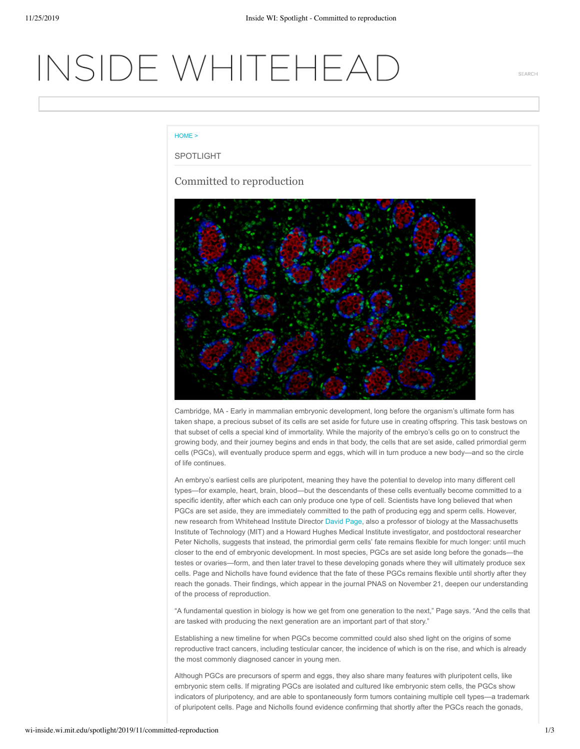# INSIDE WHITEHEAD

SFARCH

### HOME >

### SPOTLIGHT

# Committed to reproduction



Cambridge, MA - Early in mammalian embryonic development, long before the organism's ultimate form has taken shape, a precious subset of its cells are set aside for future use in creating offspring. This task bestows on that subset of cells a special kind of immortality. While the majority of the embryo's cells go on to construct the growing body, and their journey begins and ends in that body, the cells that are set aside, called primordial germ cells (PGCs), will eventually produce sperm and eggs, which will in turn produce a new body—and so the circle of life continues.

An embryo's earliest cells are pluripotent, meaning they have the potential to develop into many different cell types—for example, heart, brain, blood—but the descendants of these cells eventually become committed to a specific identity, after which each can only produce one type of cell. Scientists have long believed that when PGCs are set aside, they are immediately committed to the path of producing egg and sperm cells. However, new research from Whitehead Institute Director David Page, also a professor of biology at the Massachusetts Institute of Technology (MIT) and a Howard Hughes Medical Institute investigator, and postdoctoral researcher Peter Nicholls, suggests that instead, the primordial germ cells' fate remains flexible for much longer: until much closer to the end of embryonic development. In most species, PGCs are set aside long before the gonads—the testes or ovaries—form, and then later travel to these developing gonads where they will ultimately produce sex cells. Page and Nicholls have found evidence that the fate of these PGCs remains flexible until shortly after they reach the gonads. Their findings, which appear in the journal PNAS on November 21, deepen our understanding of the process of reproduction.

"A fundamental question in biology is how we get from one generation to the next," Page says. "And the cells that are tasked with producing the next generation are an important part of that story."

Establishing a new timeline for when PGCs become committed could also shed light on the origins of some reproductive tract cancers, including testicular cancer, the incidence of which is on the rise, and which is already the most commonly diagnosed cancer in young men.

Although PGCs are precursors of sperm and eggs, they also share many features with pluripotent cells, like embryonic stem cells. If migrating PGCs are isolated and cultured like embryonic stem cells, the PGCs show indicators of pluripotency, and are able to spontaneously form tumors containing multiple cell types—a trademark of pluripotent cells. Page and Nicholls found evidence confirming that shortly after the PGCs reach the gonads,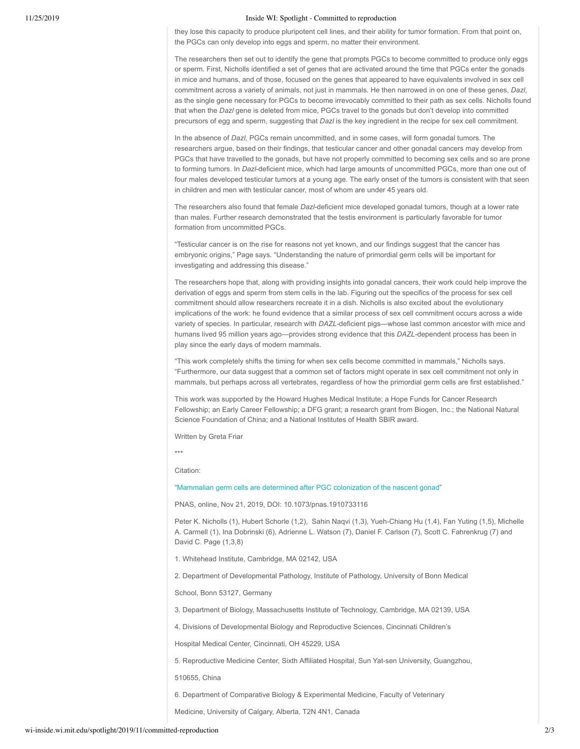#### 11/25/2019 Inside WI: Spotlight - Committed to reproduction

they lose this capacity to produce pluripotent cell lines, and their ability for tumor formation. From that point on, the PGCs can only develop into eggs and sperm, no matter their environment.

The researchers then set out to identify the gene that prompts PGCs to become committed to produce only eggs or sperm. First, Nicholls identified a set of genes that are activated around the time that PGCs enter the gonads in mice and humans, and of those, focused on the genes that appeared to have equivalents involved in sex cell commitment across a variety of animals, not just in mammals. He then narrowed in on one of these genes, *Dazl*, as the single gene necessary for PGCs to become irrevocably committed to their path as sex cells. Nicholls found that when the *Dazl* gene is deleted from mice, PGCs travel to the gonads but don't develop into committed precursors of egg and sperm, suggesting that *Dazl* is the key ingredient in the recipe for sex cell commitment.

In the absence of *Dazl*, PGCs remain uncommitted, and in some cases, will form gonadal tumors. The researchers argue, based on their findings, that testicular cancer and other gonadal cancers may develop from PGCs that have travelled to the gonads, but have not properly committed to becoming sex cells and so are prone to forming tumors. In *Dazl*-deficient mice, which had large amounts of uncommitted PGCs, more than one out of four males developed testicular tumors at a young age. The early onset of the tumors is consistent with that seen in children and men with testicular cancer, most of whom are under 45 years old.

The researchers also found that female *Dazl-*deficient mice developed gonadal tumors, though at a lower rate than males. Further research demonstrated that the testis environment is particularly favorable for tumor formation from uncommitted PGCs.

"Testicular cancer is on the rise for reasons not yet known, and our findings suggest that the cancer has embryonic origins," Page says. "Understanding the nature of primordial germ cells will be important for investigating and addressing this disease."

The researchers hope that, along with providing insights into gonadal cancers, their work could help improve the derivation of eggs and sperm from stem cells in the lab. Figuring out the specifics of the process for sex cell commitment should allow researchers recreate it in a dish. Nicholls is also excited about the evolutionary implications of the work: he found evidence that a similar process of sex cell commitment occurs across a wide variety of species. In particular, research with *DAZL*-deficient pigs—whose last common ancestor with mice and humans lived 95 million years ago-provides strong evidence that this *DAZL*-dependent process has been in play since the early days of modern mammals.

"This work completely shifts the timing for when sex cells become committed in mammals," Nicholls says. "Furthermore, our data suggest that a common set of factors might operate in sex cell commitment not only in mammals, but perhaps across all vertebrates, regardless of how the primordial germ cells are first established."

This work was supported by the Howard Hughes Medical Institute; a Hope Funds for Cancer Research Fellowship; an Early Career Fellowship; a DFG grant; a research grant from Biogen, Inc.; the National Natural Science Foundation of China; and a National Institutes of Health SBIR award.

Written by Greta Friar

\*\*\*

Citation:

"Mammalian germ cells are determined after PGC colonization of the nascent gonad"

PNAS, online, NoY 21, 2019, DOI: 10.1073/pnas.1910733116

Peter K. Nicholls (1), Hubert Schorle (1,2), Sahin Naqvi (1,3), Yueh-Chiang Hu (1,4), Fan Yuting (1,5), Michelle A. Carmell (1), Ina Dobrinski (6), Adrienne L. Watson (7), Daniel F. Carlson (7), Scott C. Fahrenkrug (7) and DaYid C. Page (1,3,8)

1. Whitehead Institute, Cambridge, MA 02142, USA

2. Department of Developmental Pathology, Institute of Pathology, University of Bonn Medical

School, Bonn 53127, Germany

3. Department of Biology, Massachusetts Institute of Technology, Cambridge, MA 02139, USA

4. Divisions of Developmental Biology and Reproductive Sciences, Cincinnati Children's

Hospital Medical Center, Cincinnati, OH 45229, USA

5. Reproductive Medicine Center, Sixth Affiliated Hospital, Sun Yat-sen University, Guangzhou,

510655, China

6. Department of Comparative Biology & Experimental Medicine, Faculty of Veterinary

Medicine, University of Calgary, Alberta, T2N 4N1, Canada